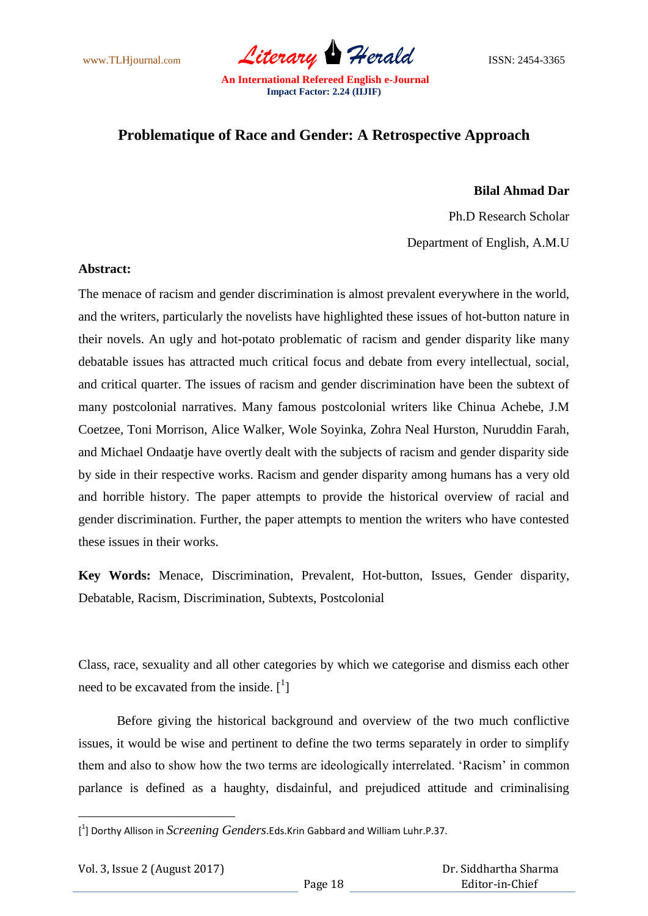www.TLHjournal.com *Literary Herald*ISSN: 2454-3365

## **Problematique of Race and Gender: A Retrospective Approach**

## **Bilal Ahmad Dar**

Ph.D Research Scholar

Department of English, A.M.U

## **Abstract:**

The menace of racism and gender discrimination is almost prevalent everywhere in the world, and the writers, particularly the novelists have highlighted these issues of hot-button nature in their novels. An ugly and hot-potato problematic of racism and gender disparity like many debatable issues has attracted much critical focus and debate from every intellectual, social, and critical quarter. The issues of racism and gender discrimination have been the subtext of many postcolonial narratives. Many famous postcolonial writers like Chinua Achebe, J.M Coetzee, Toni Morrison, Alice Walker, Wole Soyinka, Zohra Neal Hurston, Nuruddin Farah, and Michael Ondaatje have overtly dealt with the subjects of racism and gender disparity side by side in their respective works. Racism and gender disparity among humans has a very old and horrible history. The paper attempts to provide the historical overview of racial and gender discrimination. Further, the paper attempts to mention the writers who have contested these issues in their works.

**Key Words:** Menace, Discrimination, Prevalent, Hot-button, Issues, Gender disparity, Debatable, Racism, Discrimination, Subtexts, Postcolonial

Class, race, sexuality and all other categories by which we categorise and dismiss each other need to be excavated from the inside.  $\begin{bmatrix} 1 \end{bmatrix}$ 

Before giving the historical background and overview of the two much conflictive issues, it would be wise and pertinent to define the two terms separately in order to simplify them and also to show how the two terms are ideologically interrelated. "Racism" in common parlance is defined as a haughty, disdainful, and prejudiced attitude and criminalising

1

<sup>[</sup> 1 ] Dorthy Allison in *Screening Genders*.Eds.Krin Gabbard and William Luhr.P.37.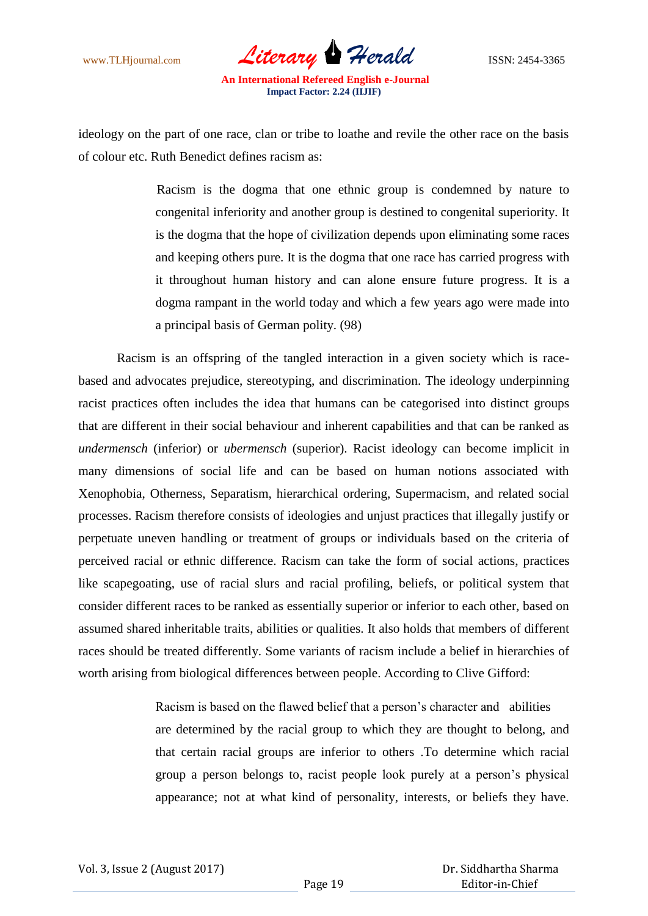www.TLHjournal.com *Literary Herald*ISSN: 2454-3365

ideology on the part of one race, clan or tribe to loathe and revile the other race on the basis of colour etc. Ruth Benedict defines racism as:

> Racism is the dogma that one ethnic group is condemned by nature to congenital inferiority and another group is destined to congenital superiority. It is the dogma that the hope of civilization depends upon eliminating some races and keeping others pure. It is the dogma that one race has carried progress with it throughout human history and can alone ensure future progress. It is a dogma rampant in the world today and which a few years ago were made into a principal basis of German polity. (98)

Racism is an offspring of the tangled interaction in a given society which is racebased and advocates prejudice, stereotyping, and discrimination. The ideology underpinning racist practices often includes the idea that humans can be categorised into distinct groups that are different in their social behaviour and inherent capabilities and that can be ranked as *undermensch* (inferior) or *ubermensch* (superior). Racist ideology can become implicit in many dimensions of social life and can be based on human notions associated with Xenophobia, Otherness, Separatism, hierarchical ordering, Supermacism, and related social processes. Racism therefore consists of ideologies and unjust practices that illegally justify or perpetuate uneven handling or treatment of groups or individuals based on the criteria of perceived racial or ethnic difference. Racism can take the form of social actions, practices like scapegoating, use of racial slurs and racial profiling, beliefs, or political system that consider different races to be ranked as essentially superior or inferior to each other, based on assumed shared inheritable traits, abilities or qualities. It also holds that members of different races should be treated differently. Some variants of racism include a belief in hierarchies of worth arising from biological differences between people. According to Clive Gifford:

> Racism is based on the flawed belief that a person"s character and abilities are determined by the racial group to which they are thought to belong, and that certain racial groups are inferior to others .To determine which racial group a person belongs to, racist people look purely at a person"s physical appearance; not at what kind of personality, interests, or beliefs they have.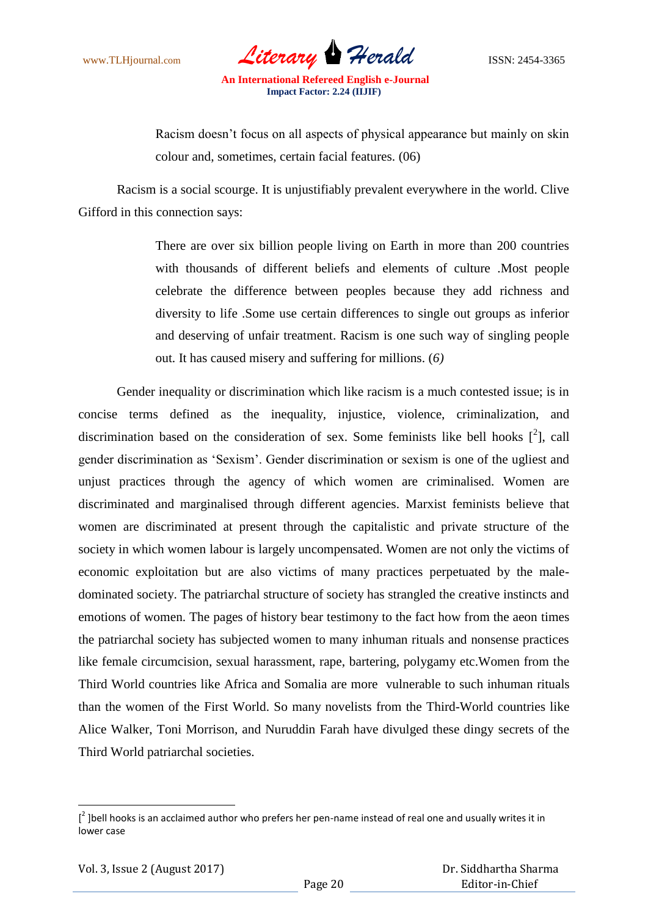www.TLHjournal.com *Literary Herald*ISSN: 2454-3365

Racism doesn"t focus on all aspects of physical appearance but mainly on skin colour and, sometimes, certain facial features. (06)

Racism is a social scourge. It is unjustifiably prevalent everywhere in the world. Clive Gifford in this connection says:

> There are over six billion people living on Earth in more than 200 countries with thousands of different beliefs and elements of culture .Most people celebrate the difference between peoples because they add richness and diversity to life .Some use certain differences to single out groups as inferior and deserving of unfair treatment. Racism is one such way of singling people out. It has caused misery and suffering for millions. (*6)*

Gender inequality or discrimination which like racism is a much contested issue; is in concise terms defined as the inequality, injustice, violence, criminalization, and discrimination based on the consideration of sex. Some feminists like bell hooks  $[^2]$ , call gender discrimination as "Sexism". Gender discrimination or sexism is one of the ugliest and unjust practices through the agency of which women are criminalised. Women are discriminated and marginalised through different agencies. Marxist feminists believe that women are discriminated at present through the capitalistic and private structure of the society in which women labour is largely uncompensated. Women are not only the victims of economic exploitation but are also victims of many practices perpetuated by the maledominated society. The patriarchal structure of society has strangled the creative instincts and emotions of women. The pages of history bear testimony to the fact how from the aeon times the patriarchal society has subjected women to many inhuman rituals and nonsense practices like female circumcision, sexual harassment, rape, bartering, polygamy etc.Women from the Third World countries like Africa and Somalia are more vulnerable to such inhuman rituals than the women of the First World. So many novelists from the Third-World countries like Alice Walker, Toni Morrison, and Nuruddin Farah have divulged these dingy secrets of the Third World patriarchal societies.

**.** 

 $\left[ \begin{smallmatrix} 2 \end{smallmatrix} \right]$  bell hooks is an acclaimed author who prefers her pen-name instead of real one and usually writes it in lower case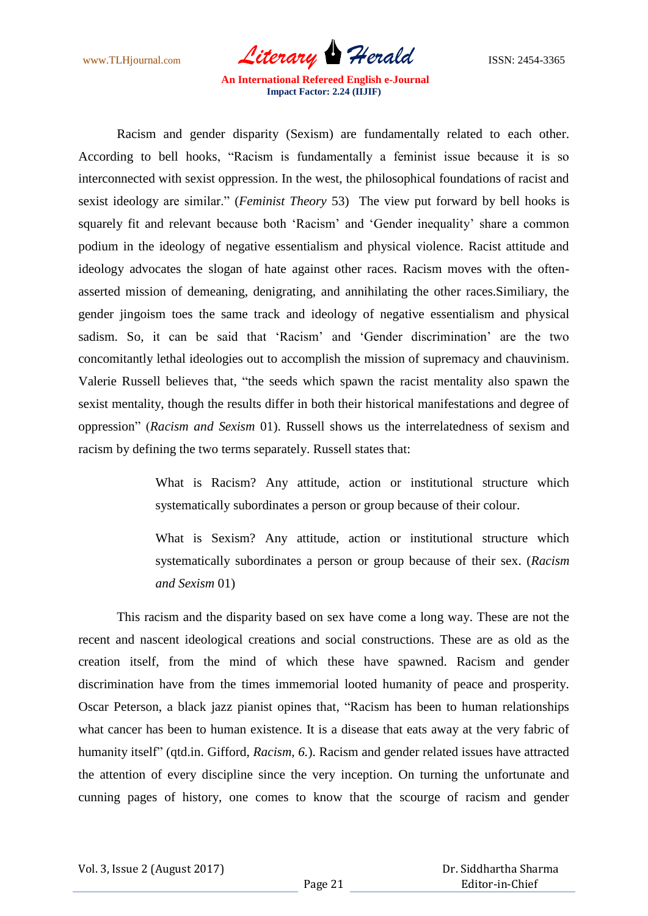www.TLHjournal.com *Literary Herald*ISSN: 2454-3365

Racism and gender disparity (Sexism) are fundamentally related to each other. According to bell hooks, "Racism is fundamentally a feminist issue because it is so interconnected with sexist oppression. In the west, the philosophical foundations of racist and sexist ideology are similar." (*Feminist Theory* 53) The view put forward by bell hooks is squarely fit and relevant because both "Racism" and "Gender inequality" share a common podium in the ideology of negative essentialism and physical violence. Racist attitude and ideology advocates the slogan of hate against other races. Racism moves with the oftenasserted mission of demeaning, denigrating, and annihilating the other races.Similiary, the gender jingoism toes the same track and ideology of negative essentialism and physical sadism. So, it can be said that 'Racism' and 'Gender discrimination' are the two concomitantly lethal ideologies out to accomplish the mission of supremacy and chauvinism. Valerie Russell believes that, "the seeds which spawn the racist mentality also spawn the sexist mentality, though the results differ in both their historical manifestations and degree of oppression" (*Racism and Sexism* 01). Russell shows us the interrelatedness of sexism and racism by defining the two terms separately. Russell states that:

> What is Racism? Any attitude, action or institutional structure which systematically subordinates a person or group because of their colour.

> What is Sexism? Any attitude, action or institutional structure which systematically subordinates a person or group because of their sex. (*Racism and Sexism* 01)

This racism and the disparity based on sex have come a long way. These are not the recent and nascent ideological creations and social constructions. These are as old as the creation itself, from the mind of which these have spawned. Racism and gender discrimination have from the times immemorial looted humanity of peace and prosperity. Oscar Peterson, a black jazz pianist opines that, "Racism has been to human relationships what cancer has been to human existence. It is a disease that eats away at the very fabric of humanity itself" (qtd.in. Gifford, *Racism, 6.*). Racism and gender related issues have attracted the attention of every discipline since the very inception. On turning the unfortunate and cunning pages of history, one comes to know that the scourge of racism and gender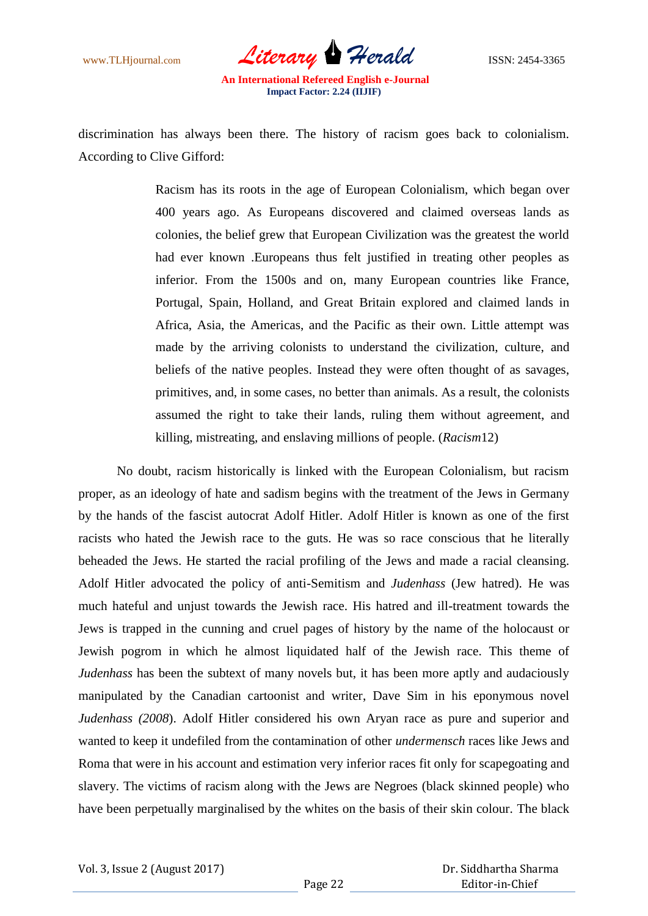

discrimination has always been there. The history of racism goes back to colonialism. According to Clive Gifford:

> Racism has its roots in the age of European Colonialism, which began over 400 years ago. As Europeans discovered and claimed overseas lands as colonies, the belief grew that European Civilization was the greatest the world had ever known .Europeans thus felt justified in treating other peoples as inferior. From the 1500s and on, many European countries like France, Portugal, Spain, Holland, and Great Britain explored and claimed lands in Africa, Asia, the Americas, and the Pacific as their own. Little attempt was made by the arriving colonists to understand the civilization, culture, and beliefs of the native peoples. Instead they were often thought of as savages, primitives, and, in some cases, no better than animals. As a result, the colonists assumed the right to take their lands, ruling them without agreement, and killing, mistreating, and enslaving millions of people. (*Racism*12)

No doubt, racism historically is linked with the European Colonialism, but racism proper, as an ideology of hate and sadism begins with the treatment of the Jews in Germany by the hands of the fascist autocrat Adolf Hitler. Adolf Hitler is known as one of the first racists who hated the Jewish race to the guts. He was so race conscious that he literally beheaded the Jews. He started the racial profiling of the Jews and made a racial cleansing. Adolf Hitler advocated the policy of anti-Semitism and *Judenhass* (Jew hatred). He was much hateful and unjust towards the Jewish race. His hatred and ill-treatment towards the Jews is trapped in the cunning and cruel pages of history by the name of the holocaust or Jewish pogrom in which he almost liquidated half of the Jewish race. This theme of *Judenhass* has been the subtext of many novels but, it has been more aptly and audaciously manipulated by the Canadian cartoonist and writer, Dave Sim in his eponymous novel *Judenhass (2008*). Adolf Hitler considered his own Aryan race as pure and superior and wanted to keep it undefiled from the contamination of other *undermensch* races like Jews and Roma that were in his account and estimation very inferior races fit only for scapegoating and slavery. The victims of racism along with the Jews are Negroes (black skinned people) who have been perpetually marginalised by the whites on the basis of their skin colour. The black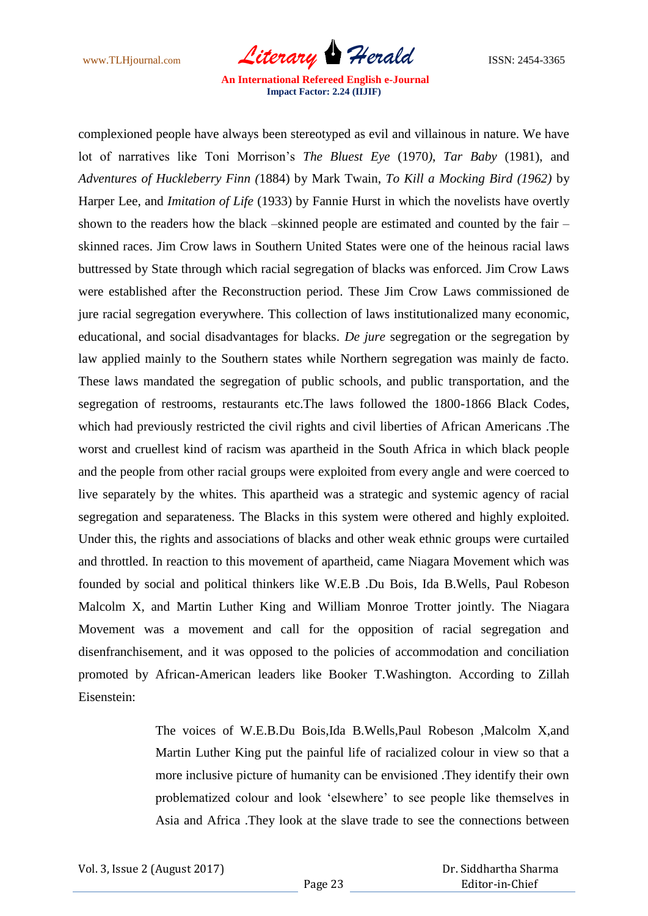www.TLHjournal.com *Literary Herald*ISSN: 2454-3365

complexioned people have always been stereotyped as evil and villainous in nature. We have lot of narratives like Toni Morrison"s *The Bluest Eye* (1970*)*, *Tar Baby* (1981), and *Adventures of Huckleberry Finn (*1884) by Mark Twain, *To Kill a Mocking Bird (1962)* by Harper Lee, and *Imitation of Life* (1933) by Fannie Hurst in which the novelists have overtly shown to the readers how the black *–*skinned people are estimated and counted by the fair – skinned races. Jim Crow laws in Southern United States were one of the heinous racial laws buttressed by State through which racial segregation of blacks was enforced. Jim Crow Laws were established after the Reconstruction period. These Jim Crow Laws commissioned de jure racial segregation everywhere. This collection of laws institutionalized many economic, educational, and social disadvantages for blacks. *De jure* segregation or the segregation by law applied mainly to the Southern states while Northern segregation was mainly de facto. These laws mandated the segregation of public schools, and public transportation, and the segregation of restrooms, restaurants etc.The laws followed the 1800-1866 Black Codes, which had previously restricted the civil rights and civil liberties of African Americans .The worst and cruellest kind of racism was apartheid in the South Africa in which black people and the people from other racial groups were exploited from every angle and were coerced to live separately by the whites. This apartheid was a strategic and systemic agency of racial segregation and separateness. The Blacks in this system were othered and highly exploited. Under this, the rights and associations of blacks and other weak ethnic groups were curtailed and throttled. In reaction to this movement of apartheid, came Niagara Movement which was founded by social and political thinkers like W.E.B .Du Bois, Ida B.Wells, Paul Robeson Malcolm X, and Martin Luther King and William Monroe Trotter jointly. The Niagara Movement was a movement and call for the opposition of racial segregation and disenfranchisement, and it was opposed to the policies of accommodation and conciliation promoted by African-American leaders like Booker T.Washington. According to Zillah Eisenstein:

> The voices of W.E.B.Du Bois,Ida B.Wells,Paul Robeson ,Malcolm X,and Martin Luther King put the painful life of racialized colour in view so that a more inclusive picture of humanity can be envisioned .They identify their own problematized colour and look "elsewhere" to see people like themselves in Asia and Africa .They look at the slave trade to see the connections between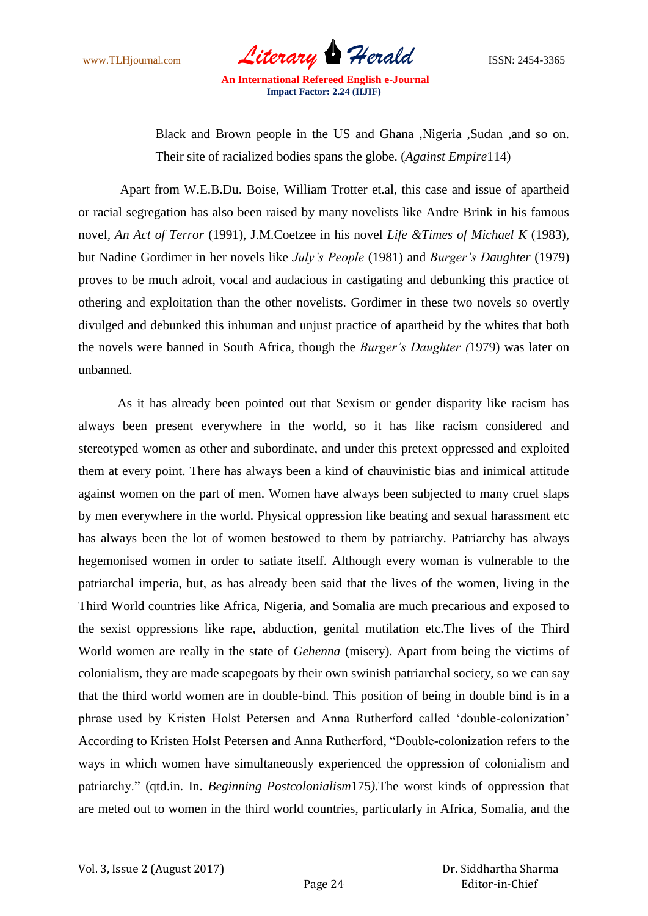www.TLHjournal.com *Literary Herald*ISSN: 2454-3365

Black and Brown people in the US and Ghana ,Nigeria ,Sudan ,and so on. Their site of racialized bodies spans the globe. (*Against Empire*114)

Apart from W.E.B.Du. Boise, William Trotter et.al, this case and issue of apartheid or racial segregation has also been raised by many novelists like Andre Brink in his famous novel*, An Act of Terror* (1991), J.M.Coetzee in his novel *Life &Times of Michael K* (1983), but Nadine Gordimer in her novels like *July's People* (1981) and *Burger's Daughter* (1979) proves to be much adroit, vocal and audacious in castigating and debunking this practice of othering and exploitation than the other novelists. Gordimer in these two novels so overtly divulged and debunked this inhuman and unjust practice of apartheid by the whites that both the novels were banned in South Africa, though the *Burger's Daughter (*1979) was later on unbanned.

 As it has already been pointed out that Sexism or gender disparity like racism has always been present everywhere in the world, so it has like racism considered and stereotyped women as other and subordinate, and under this pretext oppressed and exploited them at every point. There has always been a kind of chauvinistic bias and inimical attitude against women on the part of men. Women have always been subjected to many cruel slaps by men everywhere in the world. Physical oppression like beating and sexual harassment etc has always been the lot of women bestowed to them by patriarchy. Patriarchy has always hegemonised women in order to satiate itself. Although every woman is vulnerable to the patriarchal imperia, but, as has already been said that the lives of the women, living in the Third World countries like Africa, Nigeria, and Somalia are much precarious and exposed to the sexist oppressions like rape, abduction, genital mutilation etc.The lives of the Third World women are really in the state of *Gehenna* (misery). Apart from being the victims of colonialism, they are made scapegoats by their own swinish patriarchal society, so we can say that the third world women are in double-bind. This position of being in double bind is in a phrase used by Kristen Holst Petersen and Anna Rutherford called "double-colonization" According to Kristen Holst Petersen and Anna Rutherford, "Double-colonization refers to the ways in which women have simultaneously experienced the oppression of colonialism and patriarchy." (qtd.in. In. *Beginning Postcolonialism*175*)*.The worst kinds of oppression that are meted out to women in the third world countries, particularly in Africa, Somalia, and the

 Dr. Siddhartha Sharma Editor-in-Chief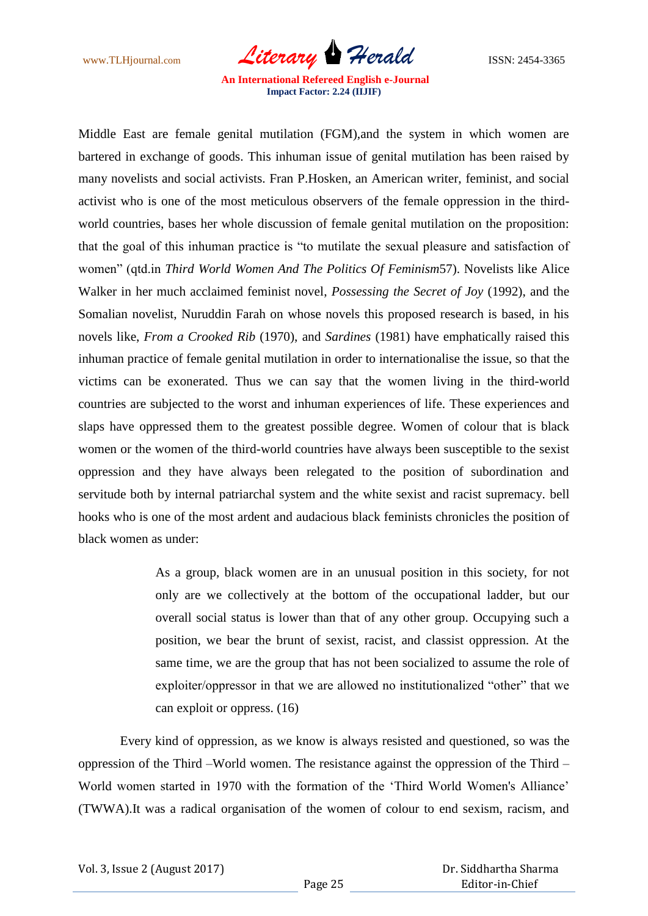www.TLHjournal.com *Literary Herald*ISSN: 2454-3365

Middle East are female genital mutilation (FGM),and the system in which women are bartered in exchange of goods. This inhuman issue of genital mutilation has been raised by many novelists and social activists. Fran P.Hosken, an American writer, feminist, and social activist who is one of the most meticulous observers of the female oppression in the thirdworld countries, bases her whole discussion of female genital mutilation on the proposition: that the goal of this inhuman practice is "to mutilate the sexual pleasure and satisfaction of women" (qtd.in *Third World Women And The Politics Of Feminism*57). Novelists like Alice Walker in her much acclaimed feminist novel, *Possessing the Secret of Joy* (1992), and the Somalian novelist, Nuruddin Farah on whose novels this proposed research is based, in his novels like, *From a Crooked Rib* (1970), and *Sardines* (1981) have emphatically raised this inhuman practice of female genital mutilation in order to internationalise the issue, so that the victims can be exonerated. Thus we can say that the women living in the third-world countries are subjected to the worst and inhuman experiences of life. These experiences and slaps have oppressed them to the greatest possible degree. Women of colour that is black women or the women of the third-world countries have always been susceptible to the sexist oppression and they have always been relegated to the position of subordination and servitude both by internal patriarchal system and the white sexist and racist supremacy. bell hooks who is one of the most ardent and audacious black feminists chronicles the position of black women as under:

> As a group, black women are in an unusual position in this society, for not only are we collectively at the bottom of the occupational ladder, but our overall social status is lower than that of any other group. Occupying such a position, we bear the brunt of sexist, racist, and classist oppression. At the same time, we are the group that has not been socialized to assume the role of exploiter/oppressor in that we are allowed no institutionalized "other" that we can exploit or oppress. (16)

Every kind of oppression, as we know is always resisted and questioned, so was the oppression of the Third –World women. The resistance against the oppression of the Third – World women started in 1970 with the formation of the "Third World Women's Alliance" (TWWA).It was a radical organisation of the women of colour to end sexism, racism, and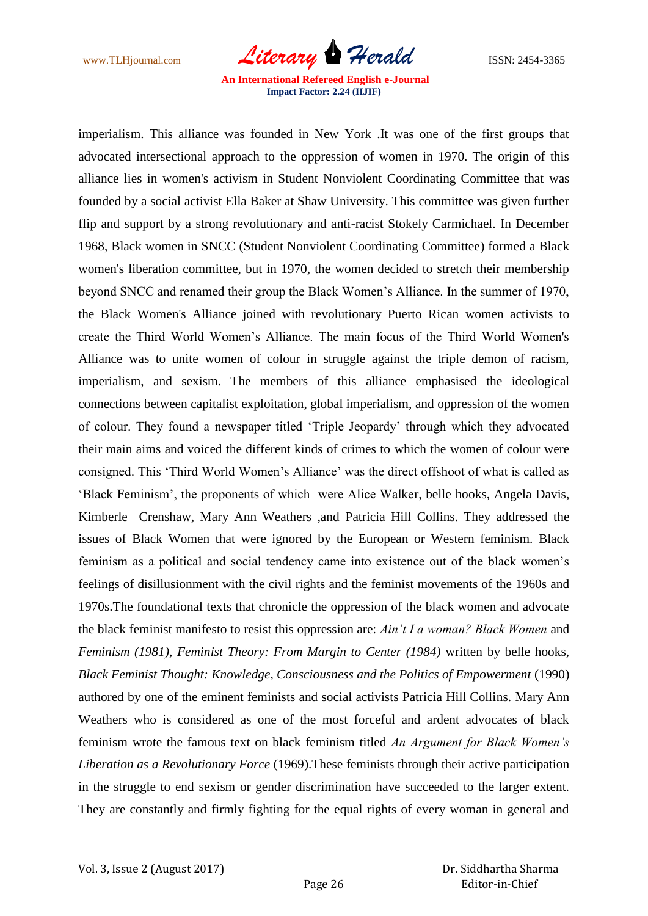www.TLHjournal.com *Literary Herald*ISSN: 2454-3365

imperialism. This alliance was founded in New York .It was one of the first groups that advocated intersectional approach to the oppression of women in 1970. The origin of this alliance lies in women's activism in Student Nonviolent Coordinating Committee that was founded by a social activist Ella Baker at Shaw University. This committee was given further flip and support by a strong revolutionary and anti-racist Stokely Carmichael. In December 1968, Black women in SNCC (Student Nonviolent Coordinating Committee) formed a Black women's liberation committee, but in 1970, the women decided to stretch their membership beyond SNCC and renamed their group the Black Women"s Alliance. In the summer of 1970, the Black Women's Alliance joined with revolutionary Puerto Rican women activists to create the Third World Women"s Alliance. The main focus of the Third World Women's Alliance was to unite women of colour in struggle against the triple demon of racism, imperialism, and sexism. The members of this alliance emphasised the ideological connections between capitalist exploitation, global imperialism, and oppression of the women of colour. They found a newspaper titled "Triple Jeopardy" through which they advocated their main aims and voiced the different kinds of crimes to which the women of colour were consigned. This "Third World Women"s Alliance" was the direct offshoot of what is called as "Black Feminism", the proponents of which were Alice Walker, belle hooks, Angela Davis, Kimberle Crenshaw, Mary Ann Weathers ,and Patricia Hill Collins. They addressed the issues of Black Women that were ignored by the European or Western feminism. Black feminism as a political and social tendency came into existence out of the black women"s feelings of disillusionment with the civil rights and the feminist movements of the 1960s and 1970s.The foundational texts that chronicle the oppression of the black women and advocate the black feminist manifesto to resist this oppression are: *Ain't I a woman? Black Women* and *Feminism (1981), Feminist Theory: From Margin to Center (1984)* written by belle hooks, *Black Feminist Thought: Knowledge, Consciousness and the Politics of Empowerment* (1990) authored by one of the eminent feminists and social activists Patricia Hill Collins. Mary Ann Weathers who is considered as one of the most forceful and ardent advocates of black feminism wrote the famous text on black feminism titled *An Argument for Black Women's Liberation as a Revolutionary Force* (1969).These feminists through their active participation in the struggle to end sexism or gender discrimination have succeeded to the larger extent. They are constantly and firmly fighting for the equal rights of every woman in general and

 Dr. Siddhartha Sharma Editor-in-Chief